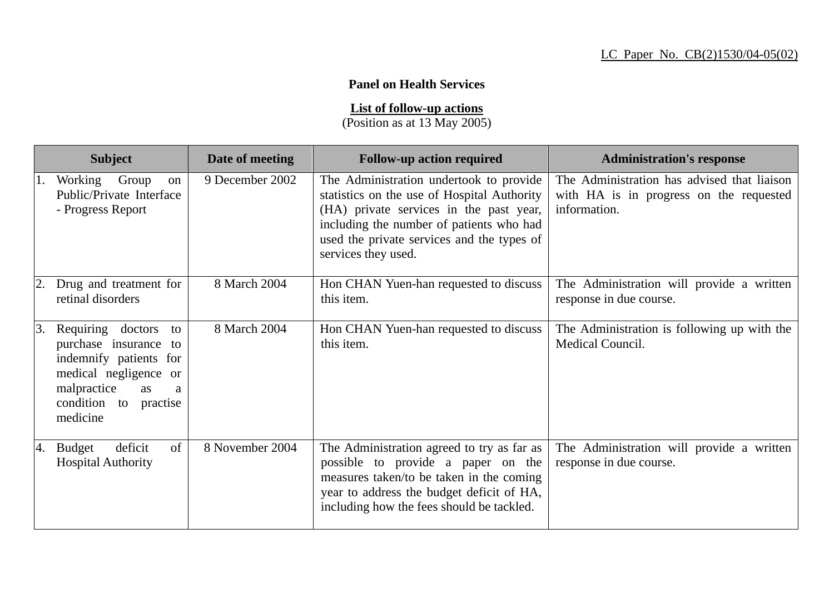## **Panel on Health Services**

**List of follow-up actions**

(Position as at 13 May 2005)

|    | <b>Subject</b>                                                                                                                                                                  | Date of meeting | <b>Follow-up action required</b>                                                                                                                                                                                                                   | <b>Administration's response</b>                                                                       |
|----|---------------------------------------------------------------------------------------------------------------------------------------------------------------------------------|-----------------|----------------------------------------------------------------------------------------------------------------------------------------------------------------------------------------------------------------------------------------------------|--------------------------------------------------------------------------------------------------------|
|    | Working<br>Group<br>on<br>Public/Private Interface<br>- Progress Report                                                                                                         | 9 December 2002 | The Administration undertook to provide<br>statistics on the use of Hospital Authority<br>(HA) private services in the past year,<br>including the number of patients who had<br>used the private services and the types of<br>services they used. | The Administration has advised that liaison<br>with HA is in progress on the requested<br>information. |
|    | Drug and treatment for<br>retinal disorders                                                                                                                                     | 8 March 2004    | Hon CHAN Yuen-han requested to discuss<br>this item.                                                                                                                                                                                               | The Administration will provide a written<br>response in due course.                                   |
| 3. | Requiring doctors<br>to<br>purchase insurance<br>to<br>indemnify patients for<br>medical negligence or<br>malpractice<br><b>as</b><br>a<br>condition to<br>practise<br>medicine | 8 March 2004    | Hon CHAN Yuen-han requested to discuss<br>this item.                                                                                                                                                                                               | The Administration is following up with the<br>Medical Council.                                        |
| 4. | of<br>deficit<br><b>Budget</b><br><b>Hospital Authority</b>                                                                                                                     | 8 November 2004 | The Administration agreed to try as far as<br>possible to provide a paper on the<br>measures taken/to be taken in the coming<br>year to address the budget deficit of HA,<br>including how the fees should be tackled.                             | The Administration will provide a written<br>response in due course.                                   |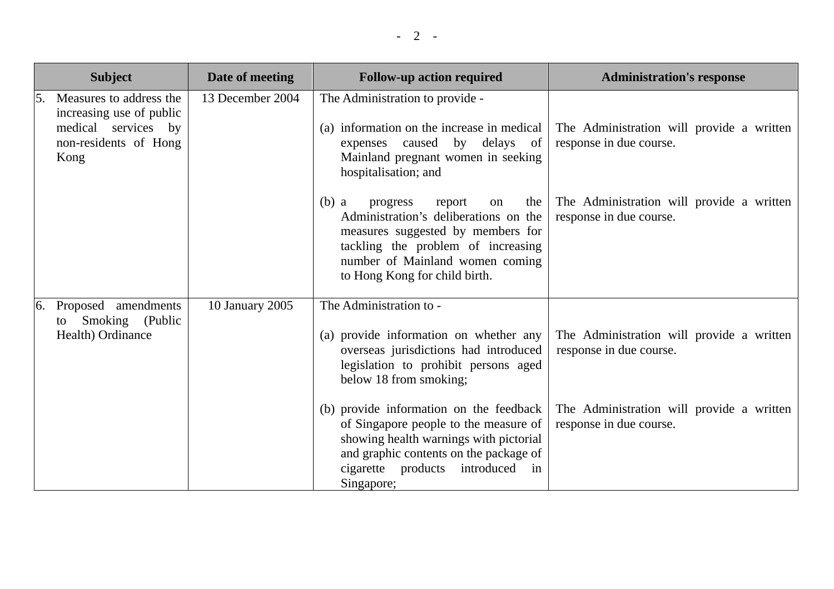|    | <b>Subject</b>                                                                                              | Date of meeting  | <b>Follow-up action required</b>                                                                                                                                                                                                   | <b>Administration's response</b>                                     |
|----|-------------------------------------------------------------------------------------------------------------|------------------|------------------------------------------------------------------------------------------------------------------------------------------------------------------------------------------------------------------------------------|----------------------------------------------------------------------|
| 5. | Measures to address the<br>increasing use of public<br>medical services by<br>non-residents of Hong<br>Kong | 13 December 2004 | The Administration to provide -<br>(a) information on the increase in medical<br>caused by delays<br>expenses<br>of<br>Mainland pregnant women in seeking<br>hospitalisation; and                                                  | The Administration will provide a written<br>response in due course. |
|    |                                                                                                             |                  | $(b)$ a<br>progress<br>report<br>the<br>on<br>Administration's deliberations on the<br>measures suggested by members for<br>tackling the problem of increasing<br>number of Mainland women coming<br>to Hong Kong for child birth. | The Administration will provide a written<br>response in due course. |
| 6. | Proposed amendments<br>Smoking (Public<br>to<br>Health) Ordinance                                           | 10 January 2005  | The Administration to -<br>(a) provide information on whether any<br>overseas jurisdictions had introduced<br>legislation to prohibit persons aged<br>below 18 from smoking;                                                       | The Administration will provide a written<br>response in due course. |
|    |                                                                                                             |                  | (b) provide information on the feedback<br>of Singapore people to the measure of<br>showing health warnings with pictorial<br>and graphic contents on the package of<br>cigarette products introduced<br>in<br>Singapore;          | The Administration will provide a written<br>response in due course. |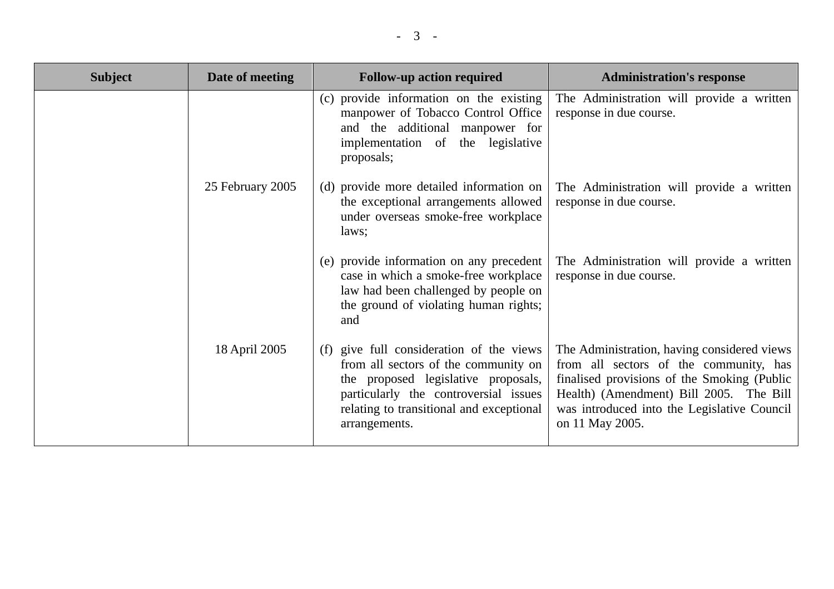| <b>Subject</b> | Date of meeting  | <b>Follow-up action required</b>                                                                                                                                                                                                 | <b>Administration's response</b>                                                                                                                                                                                                                  |
|----------------|------------------|----------------------------------------------------------------------------------------------------------------------------------------------------------------------------------------------------------------------------------|---------------------------------------------------------------------------------------------------------------------------------------------------------------------------------------------------------------------------------------------------|
|                |                  | (c) provide information on the existing<br>manpower of Tobacco Control Office<br>and the additional manpower for<br>implementation of the legislative<br>proposals;                                                              | The Administration will provide a written<br>response in due course.                                                                                                                                                                              |
|                | 25 February 2005 | (d) provide more detailed information on<br>the exceptional arrangements allowed<br>under overseas smoke-free workplace<br>laws;                                                                                                 | The Administration will provide a written<br>response in due course.                                                                                                                                                                              |
|                |                  | (e) provide information on any precedent<br>case in which a smoke-free workplace<br>law had been challenged by people on<br>the ground of violating human rights;<br>and                                                         | The Administration will provide a written<br>response in due course.                                                                                                                                                                              |
|                | 18 April 2005    | give full consideration of the views<br>(f)<br>from all sectors of the community on<br>the proposed legislative proposals,<br>particularly the controversial issues<br>relating to transitional and exceptional<br>arrangements. | The Administration, having considered views<br>from all sectors of the community, has<br>finalised provisions of the Smoking (Public<br>Health) (Amendment) Bill 2005. The Bill<br>was introduced into the Legislative Council<br>on 11 May 2005. |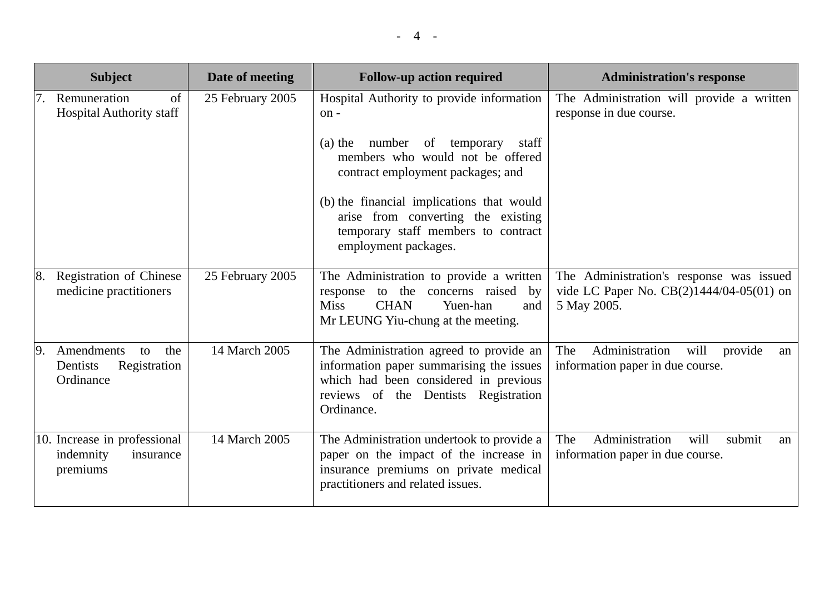|    | <b>Subject</b>                                                     | Date of meeting  | <b>Follow-up action required</b>                                                                                                                                                   | <b>Administration's response</b>                                                                    |
|----|--------------------------------------------------------------------|------------------|------------------------------------------------------------------------------------------------------------------------------------------------------------------------------------|-----------------------------------------------------------------------------------------------------|
|    | Remuneration<br>of<br><b>Hospital Authority staff</b>              | 25 February 2005 | Hospital Authority to provide information<br>on-                                                                                                                                   | The Administration will provide a written<br>response in due course.                                |
|    |                                                                    |                  | number of temporary<br>$(a)$ the<br>staff<br>members who would not be offered<br>contract employment packages; and                                                                 |                                                                                                     |
|    |                                                                    |                  | (b) the financial implications that would<br>arise from converting the existing<br>temporary staff members to contract<br>employment packages.                                     |                                                                                                     |
| 8. | Registration of Chinese<br>medicine practitioners                  | 25 February 2005 | The Administration to provide a written<br>to the<br>concerns raised by<br>response<br><b>Miss</b><br><b>CHAN</b><br>Yuen-han<br>and<br>Mr LEUNG Yiu-chung at the meeting.         | The Administration's response was issued<br>vide LC Paper No. CB(2)1444/04-05(01) on<br>5 May 2005. |
| 9. | Amendments<br>the<br>to<br>Registration<br>Dentists<br>Ordinance   | 14 March 2005    | The Administration agreed to provide an<br>information paper summarising the issues<br>which had been considered in previous<br>reviews of the Dentists Registration<br>Ordinance. | Administration<br>The<br>will<br>provide<br>an<br>information paper in due course.                  |
|    | 10. Increase in professional<br>indemnity<br>insurance<br>premiums | 14 March 2005    | The Administration undertook to provide a<br>paper on the impact of the increase in<br>insurance premiums on private medical<br>practitioners and related issues.                  | Administration<br>will<br>The<br>submit<br>an<br>information paper in due course.                   |